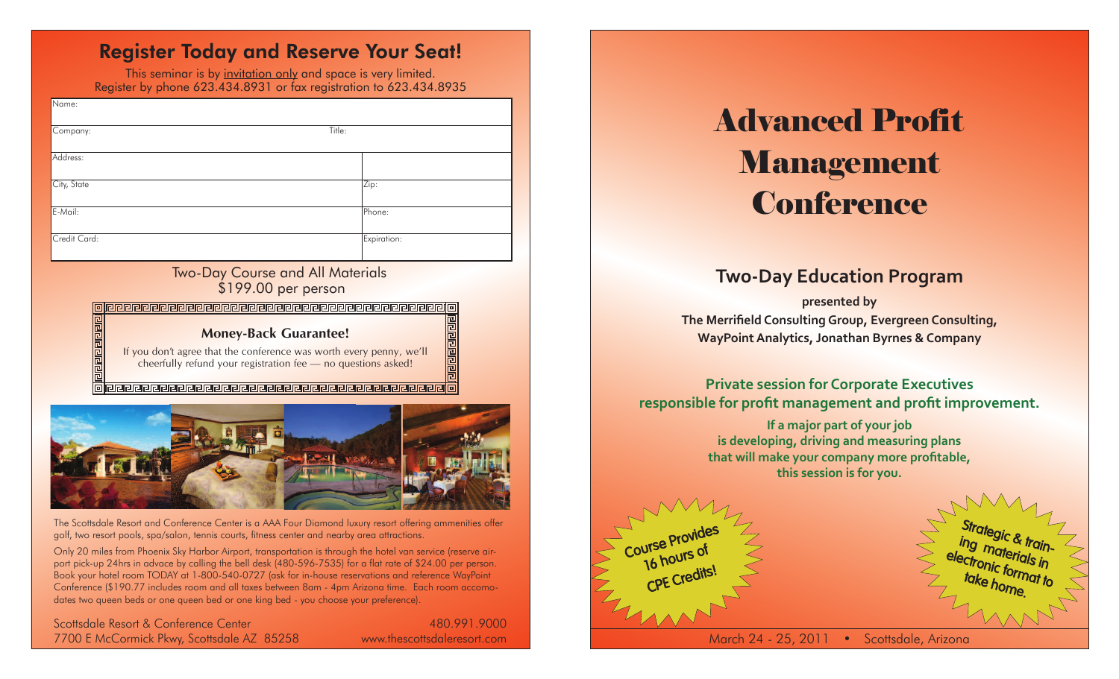# Register Today and Reserve Your Seat!

This seminar is by invitation only and space is very limited. Register by phone 623.434.8931 or fax registration to 623.434.8935

| Name:              |             |
|--------------------|-------------|
| Title:<br>Company: |             |
| Address:           |             |
| City, State        | Zip:        |
| E-Mail:            | Phone:      |
| Credit Card:       | Expiration: |

#### Two-Day Course and All Materials \$199.00 per person

#### 

#### **Money-Back Guarantee!**

If you don't agree that the conference was worth every penny, we'll cheerfully refund your registration fee — no questions asked!

**의민민리민민리민리민리민리민리민리민리민리민리민리민리민리민리민리민리** 



The Scottsdale Resort and Conference Center is a AAA Four Diamond luxury resort offering ammenities offer golf, two resort pools, spa/salon, tennis courts, fitness center and nearby area attractions.

Only 20 miles from Phoenix Sky Harbor Airport, transportation is through the hotel van service (reserve airport pick-up 24hrs in advace by calling the bell desk (480-596-7535) for a flat rate of \$24.00 per person. Book your hotel room TODAY at 1-800-540-0727 (ask for in-house reservations and reference WayPoint Conference (\$190.77 includes room and all taxes between 8am - 4pm Arizona time. Each room accomodates two queen beds or one queen bed or one king bed - you choose your preference).

Scottsdale Resort & Conference Center 7700 E McCormick Pkwy, Scottsdale AZ 85258

480.991.9000 www.thescottsdaleresort.com

# Advanced Profit Management **Conference**

# **Two-Day Education Program**

**presented by The Merrifield ConsultingGroup, Evergreen Consulting, WayPoint Analytics, Jonathan Byrnes & Company** 

## **Private session for Corporate Executives responsible for profit management and profit improvement.**

**If a major part of your job is developing, driving and measuring plans that will make your company more profitable, this session is for you.**





March 24 - 25, 2011 • Scottsdale, Arizona